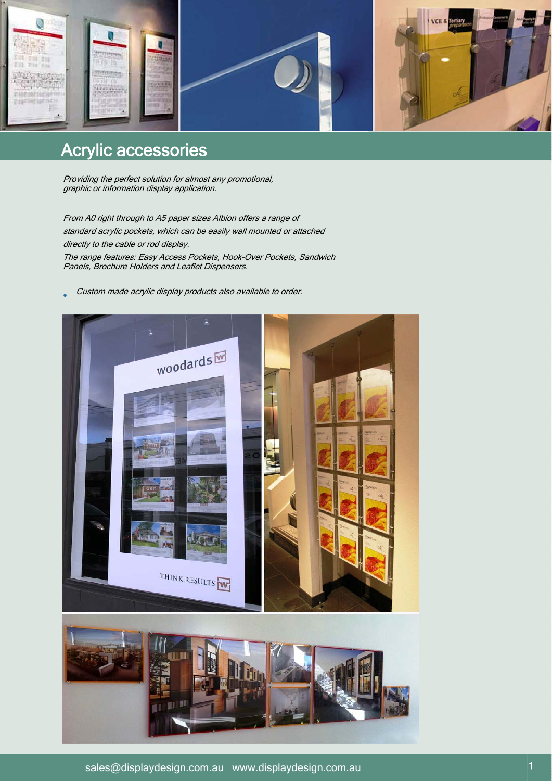

# Acrylic accessories

Providing the perfect solution for almost any promotional, graphic or information display application.

Panels, Brochure Holders and Leaflet Dispensers.

From A0 right through to A5 paper sizes Albion offers a range of standard acrylic pockets, which can be easily wall mounted or attached directly to the cable or rod display. The range features: Easy Access Pockets, Hook-Over Pockets, Sandwich

Custom made acrylic display products also available to order.

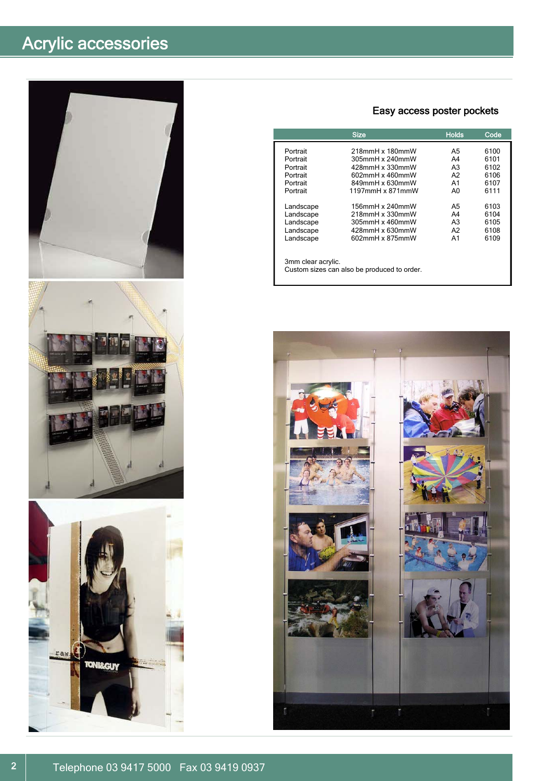# Acrylic accessories







## Easy access poster pockets

|                    | <b>Size</b>        | <b>Holds</b>   | Code |
|--------------------|--------------------|----------------|------|
| Portrait           | 218mmH x 180mmW    | A5             | 6100 |
| Portrait           | 305mmH x 240mmW    | A4             | 6101 |
| Portrait           | $428$ mmH x 330mmW | A <sub>3</sub> | 6102 |
| Portrait           | 602mmH x 460mmW    | A2             | 6106 |
| Portrait           | 849mmH x 630mmW    | A <sub>1</sub> | 6107 |
| Portrait           | 1197mmH x 871mmW   | A0             | 6111 |
| Landscape          | 156mmH x 240mmW    | A5             | 6103 |
| Landscape          | 218mmH x 330mmW    | A4             | 6104 |
| Landscape          | 305mmH x 460mmW    | A <sub>3</sub> | 6105 |
| Landscape          | 428mmH x 630mmW    | A2             | 6108 |
| Landscape          | 602mmH x 875mmW    | A <sub>1</sub> | 6109 |
| 3mm clear acrylic. |                    |                |      |

Custom sizes can also be produced to order.

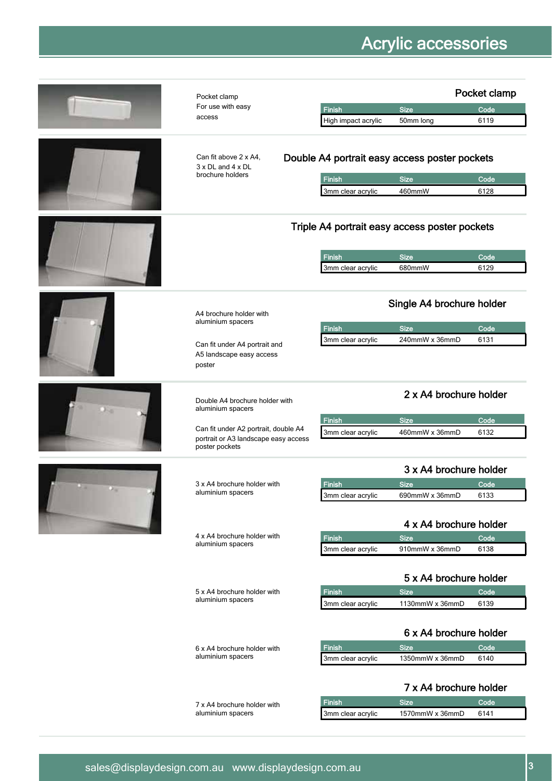|    | Pocket clamp                                                                                   |                                    |                                                                        | Pocket clamp |
|----|------------------------------------------------------------------------------------------------|------------------------------------|------------------------------------------------------------------------|--------------|
|    | For use with easy                                                                              | <b>Finish</b>                      | <b>Size</b>                                                            | Code         |
|    | access                                                                                         | High impact acrylic                | 50mm long                                                              | 6119         |
|    | Can fit above 2 x A4,<br>$3 \times DL$ and $4 \times DL$<br>brochure holders                   | <b>Finish</b><br>3mm clear acrylic | Double A4 portrait easy access poster pockets<br><b>Size</b><br>460mmW | Code<br>6128 |
|    |                                                                                                |                                    | Triple A4 portrait easy access poster pockets                          |              |
|    |                                                                                                | <b>Finish</b>                      | <b>Size</b><br>680mmW                                                  | Code<br>6129 |
|    |                                                                                                | 3mm clear acrylic                  |                                                                        |              |
|    | A4 brochure holder with<br>aluminium spacers                                                   |                                    | Single A4 brochure holder                                              |              |
|    |                                                                                                | Finish                             | <b>Size</b>                                                            | Code         |
|    | Can fit under A4 portrait and<br>A5 landscape easy access<br>poster                            | 3mm clear acrylic                  | 240mmW x 36mmD                                                         | 6131         |
| 34 | Double A4 brochure holder with<br>aluminium spacers                                            |                                    | 2 x A4 brochure holder                                                 |              |
|    |                                                                                                | Finish                             | <b>Size</b>                                                            | Code         |
|    | Can fit under A2 portrait, double A4<br>portrait or A3 landscape easy access<br>poster pockets | 3mm clear acrylic                  | 460mmW x 36mmD                                                         | 6132         |
|    |                                                                                                |                                    | 3 x A4 brochure holder                                                 |              |
|    | 3 x A4 brochure holder with                                                                    | Finish                             | <b>Size</b>                                                            | Code         |
|    | aluminium spacers                                                                              | 3mm clear acrylic                  | 690mmW x 36mmD                                                         | 6133         |
|    |                                                                                                |                                    | 4 x A4 brochure holder                                                 |              |
|    | 4 x A4 brochure holder with<br>aluminium spacers                                               | <b>Finish</b>                      | <b>Size</b>                                                            | Code         |
|    |                                                                                                | 3mm clear acrylic                  | 910mmW x 36mmD                                                         | 6138         |
|    |                                                                                                |                                    | 5 x A4 brochure holder                                                 |              |
|    | 5 x A4 brochure holder with<br>aluminium spacers                                               | <b>Finish</b>                      | <b>Size</b>                                                            | Code         |
|    |                                                                                                | 3mm clear acrylic                  | 1130mmW x 36mmD                                                        | 6139         |
|    |                                                                                                |                                    | 6 x A4 brochure holder                                                 |              |
|    | 6 x A4 brochure holder with<br>aluminium spacers                                               | <b>Finish</b><br>3mm clear acrylic | <b>Size</b><br>1350mmW x 36mmD                                         | Code<br>6140 |
|    |                                                                                                |                                    | 7 x A4 brochure holder                                                 |              |

7 x A4 brochure holder with **Finish** Size Size Code<br>aluminium spacers **Code** 3mm clear acrylic 1570mmW x 36mmD 6141

1570mmW x 36mmD